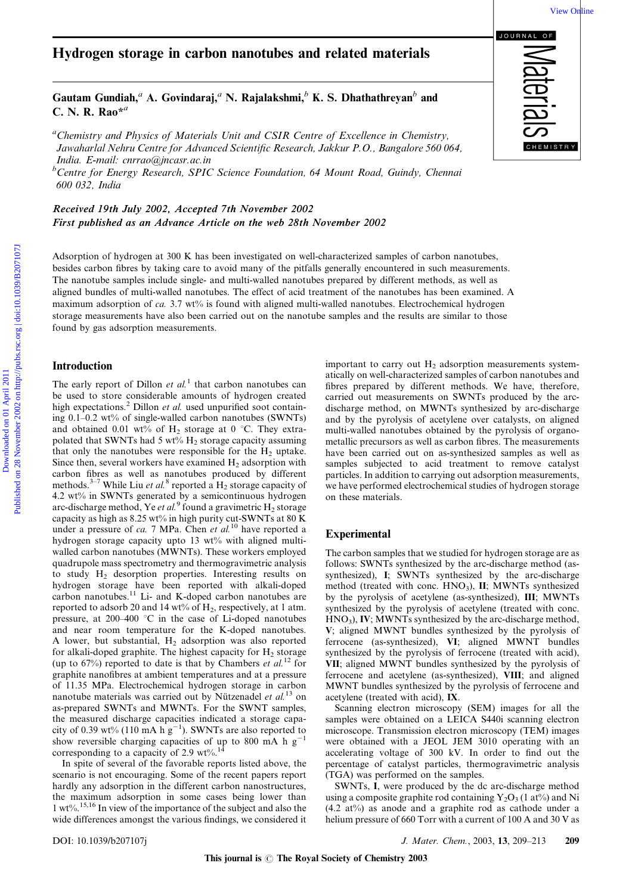## Hydrogen storage in carbon nanotubes and related materials

Gautam Gundiah,<sup>a</sup> A. Govindaraj,<sup>a</sup> N. Rajalakshmi,<sup>b</sup> K. S. Dhathathreyan<sup>b</sup> and C. N. R. Rao $*^a$ 

<sup>a</sup>Chemistry and Physics of Materials Unit and CSIR Centre of Excellence in Chemistry, Jawaharlal Nehru Centre for Advanced Scientific Research, Jakkur P.O., Bangalore 560 064, India. E-mail: cnrrao@jncasr.ac.in

<sup>b</sup>Centre for Energy Research, SPIC Science Foundation, 64 Mount Road, Guindy, Chennai 600 032, India

Received 19th July 2002, Accepted 7th November 2002 First published as an Advance Article on the web 28th November 2002

Adsorption of hydrogen at 300 K has been investigated on well-characterized samples of carbon nanotubes, besides carbon fibres by taking care to avoid many of the pitfalls generally encountered in such measurements. The nanotube samples include single- and multi-walled nanotubes prepared by different methods, as well as aligned bundles of multi-walled nanotubes. The effect of acid treatment of the nanotubes has been examined. A maximum adsorption of ca. 3.7 wt% is found with aligned multi-walled nanotubes. Electrochemical hydrogen storage measurements have also been carried out on the nanotube samples and the results are similar to those found by gas adsorption measurements. **Tydrogen storage in carbon nanotubes and related materials**<br>
Cautam Condiah,<sup>a</sup> A. Goindaraj,<sup>a</sup> N. Rajatakshmi,<sup>b</sup> K. S. Dhathathreyan<sup>5</sup> and<br>
C. N. R. Ruo<sup>12</sup><br>
"Consister your Possites of Moranic Enterpretation (*Matte* 

### Introduction

The early report of Dillon *et al.*<sup>1</sup> that carbon nanotubes can be used to store considerable amounts of hydrogen created high expectations.<sup>2</sup> Dillon *et al.* used unpurified soot containing 0.1–0.2 wt% of single-walled carbon nanotubes (SWNTs) and obtained 0.01 wt% of  $H_2$  storage at 0 °C. They extrapolated that SWNTs had 5 wt%  $H_2$  storage capacity assuming that only the nanotubes were responsible for the  $H_2$  uptake. Since then, several workers have examined  $H<sub>2</sub>$  adsorption with carbon fibres as well as nanotubes produced by different methods.<sup>3-7</sup> While Liu et al.<sup>8</sup> reported a H<sub>2</sub> storage capacity of 4.2 wt% in SWNTs generated by a semicontinuous hydrogen arc-discharge method, Ye et al.<sup>9</sup> found a gravimetric  $H_2$  storage capacity as high as  $8.25 \text{ wt}$ % in high purity cut-SWNTs at  $80 \text{ K}$ under a pressure of ca. 7 MPa. Chen et al.<sup>10</sup> have reported a hydrogen storage capacity upto 13 wt% with aligned multiwalled carbon nanotubes (MWNTs). These workers employed quadrupole mass spectrometry and thermogravimetric analysis to study H2 desorption properties. Interesting results on hydrogen storage have been reported with alkali-doped carbon nanotubes.<sup>11</sup> Li- and K-doped carbon nanotubes are reported to adsorb 20 and 14 wt% of  $H_2$ , respectively, at 1 atm. pressure, at  $200-400$  °C in the case of Li-doped nanotubes and near room temperature for the K-doped nanotubes. A lower, but substantial,  $H<sub>2</sub>$  adsorption was also reported for alkali-doped graphite. The highest capacity for  $H<sub>2</sub>$  storage (up to 67%) reported to date is that by Chambers et  $al$ .<sup>12</sup> for graphite nanofibres at ambient temperatures and at a pressure of 11.35 MPa. Electrochemical hydrogen storage in carbon nanotube materials was carried out by Nützenadel *et al.*<sup>13</sup> on as-prepared SWNTs and MWNTs. For the SWNT samples, the measured discharge capacities indicated a storage capacity of 0.39 wt% (110 mA  $h g^{-1}$ ). SWNTs are also reported to show reversible charging capacities of up to 800 mA h  $g^{-1}$ corresponding to a capacity of 2.9  $wt\%$ .<sup>1</sup>

In spite of several of the favorable reports listed above, the scenario is not encouraging. Some of the recent papers report hardly any adsorption in the different carbon nanostructures, the maximum adsorption in some cases being lower than 1 wt%.15,16 In view of the importance of the subject and also the wide differences amongst the various findings, we considered it important to carry out  $H_2$  adsorption measurements systematically on well-characterized samples of carbon nanotubes and fibres prepared by different methods. We have, therefore, carried out measurements on SWNTs produced by the arcdischarge method, on MWNTs synthesized by arc-discharge and by the pyrolysis of acetylene over catalysts, on aligned multi-walled nanotubes obtained by the pyrolysis of organometallic precursors as well as carbon fibres. The measurements have been carried out on as-synthesized samples as well as samples subjected to acid treatment to remove catalyst particles. In addition to carrying out adsorption measurements, we have performed electrochemical studies of hydrogen storage on these materials.

#### Experimental

The carbon samples that we studied for hydrogen storage are as follows: SWNTs synthesized by the arc-discharge method (assynthesized), I; SWNTs synthesized by the arc-discharge method (treated with conc.  $HNO<sub>3</sub>$ ),  $H$ ; MWNTs synthesized by the pyrolysis of acetylene (as-synthesized), III; MWNTs synthesized by the pyrolysis of acetylene (treated with conc.  $HNO<sub>3</sub>$ ), IV; MWNTs synthesized by the arc-discharge method, V; aligned MWNT bundles synthesized by the pyrolysis of ferrocene (as-synthesized), VI; aligned MWNT bundles synthesized by the pyrolysis of ferrocene (treated with acid), VII; aligned MWNT bundles synthesized by the pyrolysis of ferrocene and acetylene (as-synthesized), VIII; and aligned MWNT bundles synthesized by the pyrolysis of ferrocene and acetylene (treated with acid), IX.

Scanning electron microscopy (SEM) images for all the samples were obtained on a LEICA S440i scanning electron microscope. Transmission electron microscopy (TEM) images were obtained with a JEOL JEM 3010 operating with an accelerating voltage of 300 kV. In order to find out the percentage of catalyst particles, thermogravimetric analysis (TGA) was performed on the samples.

SWNTs, I, were produced by the dc arc-discharge method using a composite graphite rod containing  $Y_2O_3$  (1 at%) and Ni (4.2 at%) as anode and a graphite rod as cathode under a helium pressure of 660 Torr with a current of 100 A and 30 V as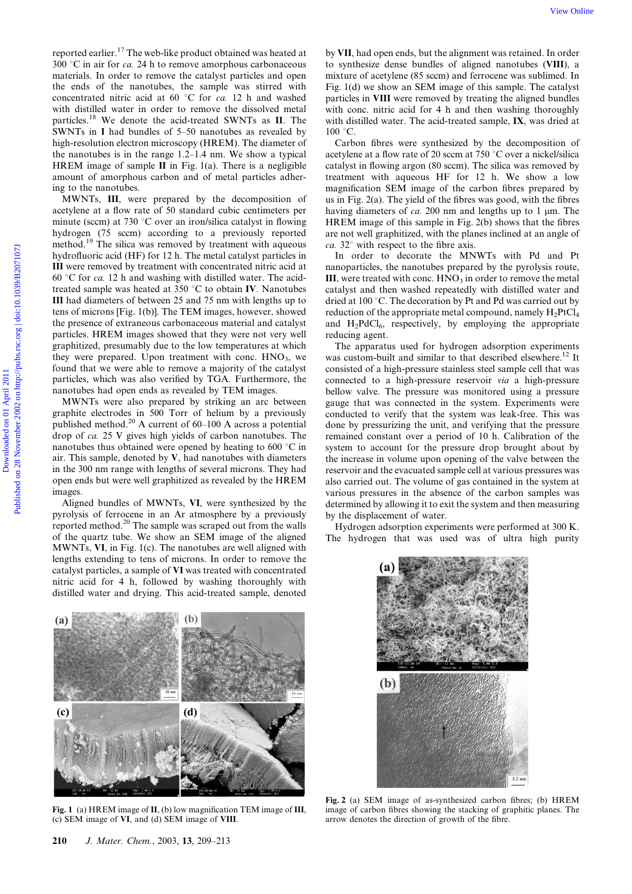reported earlier.<sup>17</sup> The web-like product obtained was heated at  $300$  °C in air for *ca*. 24 h to remove amorphous carbonaceous materials. In order to remove the catalyst particles and open the ends of the nanotubes, the sample was stirred with concentrated nitric acid at 60  $^{\circ}$ C for ca. 12 h and washed with distilled water in order to remove the dissolved metal particles.<sup>18</sup> We denote the acid-treated SWNTs as II. The SWNTs in I had bundles of 5–50 nanotubes as revealed by high-resolution electron microscopy (HREM). The diameter of the nanotubes is in the range 1.2–1.4 nm. We show a typical HREM image of sample  $II$  in Fig. 1(a). There is a negligible amount of amorphous carbon and of metal particles adhering to the nanotubes.

MWNTs, III, were prepared by the decomposition of acetylene at a flow rate of 50 standard cubic centimeters per minute (sccm) at 730  $\degree$ C over an iron/silica catalyst in flowing hydrogen (75 sccm) according to a previously reported method.<sup>19</sup> The silica was removed by treatment with aqueous hydrofluoric acid (HF) for 12 h. The metal catalyst particles in III were removed by treatment with concentrated nitric acid at 60 °C for ca. 12 h and washing with distilled water. The acidtreated sample was heated at  $350\textdegree C$  to obtain IV. Nanotubes III had diameters of between 25 and 75 nm with lengths up to tens of microns [Fig. 1(b)]. The TEM images, however, showed the presence of extraneous carbonaceous material and catalyst particles. HREM images showed that they were not very well graphitized, presumably due to the low temperatures at which they were prepared. Upon treatment with conc.  $HNO<sub>3</sub>$ , we found that we were able to remove a majority of the catalyst particles, which was also verified by TGA. Furthermore, the nanotubes had open ends as revealed by TEM images. View One of the probability control of the methods and the set of the methods by The methods by the methods of the methods of the methods of the methods in the methods of the methods in the methods of the methods in the m

MWNTs were also prepared by striking an arc between graphite electrodes in 500 Torr of helium by a previously published method.<sup>20</sup> A current of  $60-100$  A across a potential drop of ca. 25 V gives high yields of carbon nanotubes. The nanotubes thus obtained were opened by heating to 600  $\degree$ C in air. This sample, denoted by V, had nanotubes with diameters in the 300 nm range with lengths of several microns. They had open ends but were well graphitized as revealed by the HREM images.

Aligned bundles of MWNTs, VI, were synthesized by the pyrolysis of ferrocene in an Ar atmosphere by a previously reported method.<sup>20</sup> The sample was scraped out from the walls of the quartz tube. We show an SEM image of the aligned MWNTs, VI, in Fig. 1(c). The nanotubes are well aligned with lengths extending to tens of microns. In order to remove the catalyst particles, a sample of VI was treated with concentrated nitric acid for 4 h, followed by washing thoroughly with distilled water and drying. This acid-treated sample, denoted

by VII, had open ends, but the alignment was retained. In order to synthesize dense bundles of aligned nanotubes (VIII), a mixture of acetylene (85 sccm) and ferrocene was sublimed. In Fig. 1(d) we show an SEM image of this sample. The catalyst particles in VIII were removed by treating the aligned bundles with conc. nitric acid for 4 h and then washing thoroughly with distilled water. The acid-treated sample, IX, was dried at  $100 °C$ .

Carbon fibres were synthesized by the decomposition of acetylene at a flow rate of 20 sccm at 750  $\degree$ C over a nickel/silica catalyst in flowing argon (80 sccm). The silica was removed by treatment with aqueous HF for 12 h. We show a low magnification SEM image of the carbon fibres prepared by us in Fig. 2(a). The yield of the fibres was good, with the fibres having diameters of *ca*. 200 nm and lengths up to 1 µm. The HREM image of this sample in Fig. 2(b) shows that the fibres are not well graphitized, with the planes inclined at an angle of  $ca. 32°$  with respect to the fibre axis.

In order to decorate the MNWTs with Pd and Pt nanoparticles, the nanotubes prepared by the pyrolysis route, III, were treated with conc.  $HNO<sub>3</sub>$  in order to remove the metal catalyst and then washed repeatedly with distilled water and dried at 100 $^{\circ}$ C. The decoration by Pt and Pd was carried out by reduction of the appropriate metal compound, namely  $H_2PtCl_4$ and  $H_2PdCl_6$ , respectively, by employing the appropriate reducing agent.

The apparatus used for hydrogen adsorption experiments was custom-built and similar to that described elsewhere.<sup>12</sup> It consisted of a high-pressure stainless steel sample cell that was connected to a high-pressure reservoir via a high-pressure bellow valve. The pressure was monitored using a pressure gauge that was connected in the system. Experiments were conducted to verify that the system was leak-free. This was done by pressurizing the unit, and verifying that the pressure remained constant over a period of 10 h. Calibration of the system to account for the pressure drop brought about by the increase in volume upon opening of the valve between the reservoir and the evacuated sample cell at various pressures was also carried out. The volume of gas contained in the system at various pressures in the absence of the carbon samples was determined by allowing it to exit the system and then measuring by the displacement of water.

Hydrogen adsorption experiments were performed at 300 K. The hydrogen that was used was of ultra high purity

(я

 $(b)$ 



Fig. 1 (a) HREM image of II, (b) low magnification TEM image of III, (c) SEM image of VI, and (d) SEM image of VIII.



Fig. 2 (a) SEM image of as-synthesized carbon fibres; (b) HREM image of carbon fibres showing the stacking of graphitic planes. The arrow denotes the direction of growth of the fibre.

 $3.2 \text{ m}$ 

 $(a)$ 

 $(c)$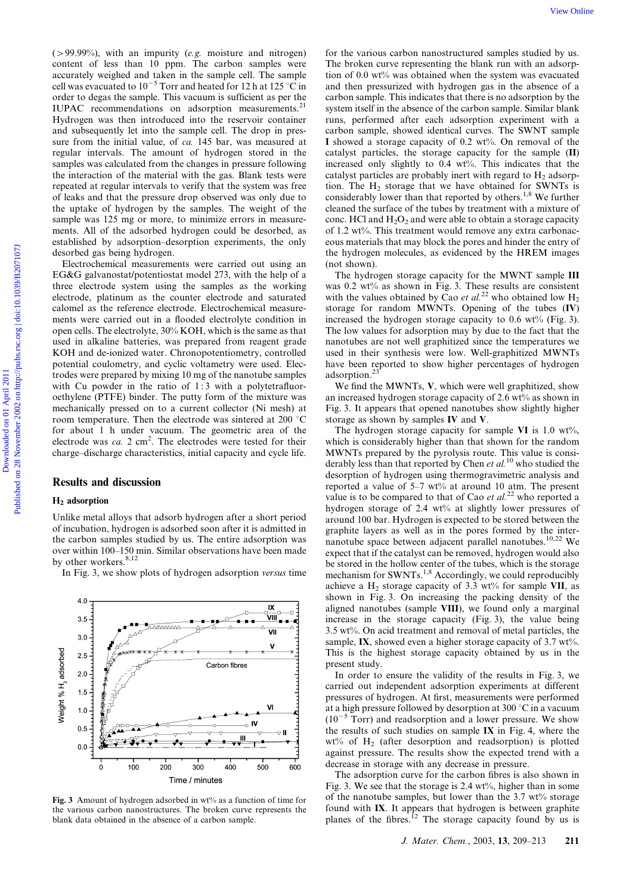$($  > 99.99%), with an impurity (*e.g.* moisture and nitrogen) content of less than 10 ppm. The carbon samples were accurately weighed and taken in the sample cell. The sample cell was evacuated to  $10^{-5}$  Torr and heated for 12 h at 125 °C in order to degas the sample. This vacuum is sufficient as per the IUPAC recommendations on adsorption measurements.<sup>21</sup> Hydrogen was then introduced into the reservoir container and subsequently let into the sample cell. The drop in pressure from the initial value, of *ca.* 145 bar, was measured at regular intervals. The amount of hydrogen stored in the samples was calculated from the changes in pressure following the interaction of the material with the gas. Blank tests were repeated at regular intervals to verify that the system was free of leaks and that the pressure drop observed was only due to the uptake of hydrogen by the samples. The weight of the sample was 125 mg or more, to minimize errors in measurements. All of the adsorbed hydrogen could be desorbed, as established by adsorption–desorption experiments, the only desorbed gas being hydrogen.

Electrochemical measurements were carried out using an EG&G galvanostat/potentiostat model 273, with the help of a three electrode system using the samples as the working electrode, platinum as the counter electrode and saturated calomel as the reference electrode. Electrochemical measurements were carried out in a flooded electrolyte condition in open cells. The electrolyte, 30% KOH, which is the same as that used in alkaline batteries, was prepared from reagent grade KOH and de-ionized water. Chronopotentiometry, controlled potential coulometry, and cyclic voltametry were used. Electrodes were prepared by mixing 10 mg of the nanotube samples with Cu powder in the ratio of 1:3 with a polytetrafluoroethylene (PTFE) binder. The putty form of the mixture was mechanically pressed on to a current collector (Ni mesh) at room temperature. Then the electrode was sintered at 200  $^{\circ}$ C for about 1 h under vacuum. The geometric area of the electrode was  $ca. 2 \text{ cm}^2$ . The electrodes were tested for their charge–discharge characteristics, initial capacity and cycle life.

#### Results and discussion

#### H2 adsorption

Unlike metal alloys that adsorb hydrogen after a short period of incubation, hydrogen is adsorbed soon after it is admitted in the carbon samples studied by us. The entire adsorption was over within 100–150 min. Similar observations have been made by other workers.<sup>8,12</sup>

In Fig. 3, we show plots of hydrogen adsorption versus time



for the various carbon nanostructured samples studied by us. The broken curve representing the blank run with an adsorption of 0.0 wt% was obtained when the system was evacuated and then pressurized with hydrogen gas in the absence of a carbon sample. This indicates that there is no adsorption by the system itself in the absence of the carbon sample. Similar blank runs, performed after each adsorption experiment with a carbon sample, showed identical curves. The SWNT sample I showed a storage capacity of 0.2 wt%. On removal of the catalyst particles, the storage capacity for the sample (II) increased only slightly to 0.4 wt%. This indicates that the catalyst particles are probably inert with regard to  $H_2$  adsorption. The  $H_2$  storage that we have obtained for SWNTs is considerably lower than that reported by others.<sup>1,8</sup> We further cleaned the surface of the tubes by treatment with a mixture of conc. HCl and  $H_2O_2$  and were able to obtain a storage capacity of 1.2 wt%. This treatment would remove any extra carbonaceous materials that may block the pores and hinder the entry of the hydrogen molecules, as evidenced by the HREM images (not shown). C-5009965, with an instantive for antidente ond anies on 1. For the works on the material on the same of the same of the same of the same of the same of the same of the same of the same of the same of the same of the same

The hydrogen storage capacity for the MWNT sample III was 0.2 wt% as shown in Fig. 3. These results are consistent with the values obtained by Cao et al.<sup>22</sup> who obtained low  $H_2$ storage for random MWNTs. Opening of the tubes (IV) increased the hydrogen storage capacity to  $0.6 \text{ wt\%}$  (Fig. 3). The low values for adsorption may by due to the fact that the nanotubes are not well graphitized since the temperatures we used in their synthesis were low. Well-graphitized MWNTs have been reported to show higher percentages of hydrogen adsorption.<sup>23</sup>

We find the MWNTs, V, which were well graphitized, show an increased hydrogen storage capacity of 2.6 wt% as shown in Fig. 3. It appears that opened nanotubes show slightly higher storage as shown by samples IV and V.

The hydrogen storage capacity for sample VI is  $1.0 \text{ wt\%}$ , which is considerably higher than that shown for the random MWNTs prepared by the pyrolysis route. This value is considerably less than that reported by Chen et  $al$ .<sup>10</sup> who studied the desorption of hydrogen using thermogravimetric analysis and reported a value of 5–7 wt% at around 10 atm. The present value is to be compared to that of Cao *et al.*<sup>22</sup> who reported a hydrogen storage of 2.4 wt% at slightly lower pressures of around 100 bar. Hydrogen is expected to be stored between the graphite layers as well as in the pores formed by the internanotube space between adjacent parallel nanotubes.10,22 We expect that if the catalyst can be removed, hydrogen would also be stored in the hollow center of the tubes, which is the storage mechanism for SWNTs.<sup>1,8</sup> Accordingly, we could reproducibly achieve a  $H_2$  storage capacity of 3.3 wt% for sample VII, as shown in Fig. 3. On increasing the packing density of the aligned nanotubes (sample VIII), we found only a marginal increase in the storage capacity (Fig. 3), the value being 3.5 wt%. On acid treatment and removal of metal particles, the sample, IX, showed even a higher storage capacity of  $3.7 \text{ wt\%}$ . This is the highest storage capacity obtained by us in the present study.

In order to ensure the validity of the results in Fig. 3, we carried out independent adsorption experiments at different pressures of hydrogen. At first, measurements were performed at a high pressure followed by desorption at 300  $^{\circ}$ C in a vacuum  $(10^{-5}$  Torr) and readsorption and a lower pressure. We show the results of such studies on sample IX in Fig. 4, where the  $wt\%$  of H<sub>2</sub> (after desorption and readsorption) is plotted against pressure. The results show the expected trend with a decrease in storage with any decrease in pressure.

The adsorption curve for the carbon fibres is also shown in Fig. 3. We see that the storage is  $2.4 \text{ wt\%}$ , higher than in some of the nanotube samples, but lower than the  $3.7 \text{ wt\%}$  storage found with IX. It appears that hydrogen is between graphite planes of the fibres.<sup>12</sup> The storage capacity found by us is

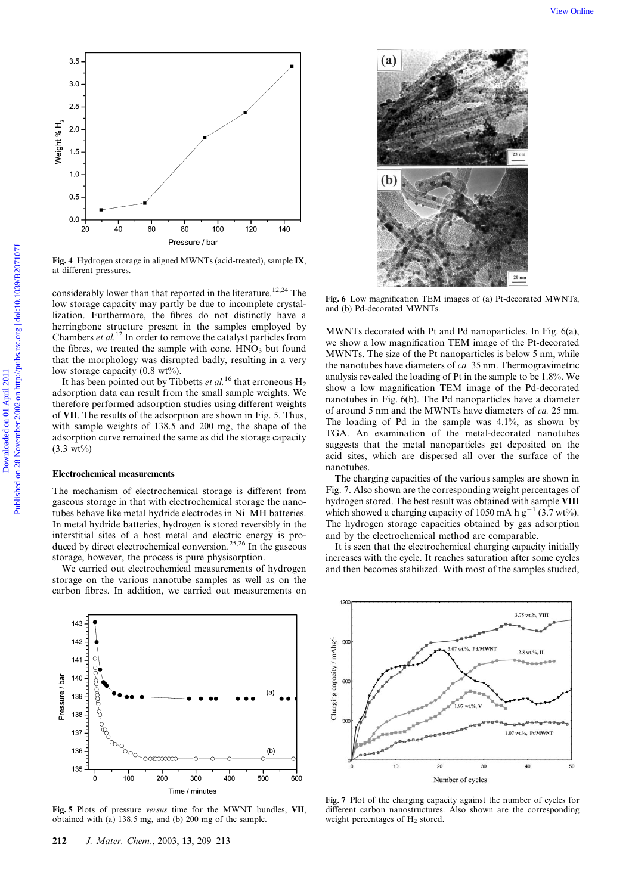

Fig. 4 Hydrogen storage in aligned MWNTs (acid-treated), sample IX, at different pressures.

considerably lower than that reported in the literature.<sup>12,24</sup> The low storage capacity may partly be due to incomplete crystallization. Furthermore, the fibres do not distinctly have a herringbone structure present in the samples employed by Chambers *et al.*<sup>12</sup> In order to remove the catalyst particles from the fibres, we treated the sample with conc.  $HNO<sub>3</sub>$  but found that the morphology was disrupted badly, resulting in a very low storage capacity  $(0.8 \text{ wt\%}).$ 

It has been pointed out by Tibbetts et al.<sup>16</sup> that erroneous  $H_2$ adsorption data can result from the small sample weights. We therefore performed adsorption studies using different weights of VII. The results of the adsorption are shown in Fig. 5. Thus, with sample weights of 138.5 and 200 mg, the shape of the adsorption curve remained the same as did the storage capacity  $(3.3 \text{ wt})$ 

#### Electrochemical measurements

The mechanism of electrochemical storage is different from gaseous storage in that with electrochemical storage the nanotubes behave like metal hydride electrodes in Ni–MH batteries. In metal hydride batteries, hydrogen is stored reversibly in the interstitial sites of a host metal and electric energy is produced by direct electrochemical conversion.25,26 In the gaseous storage, however, the process is pure physisorption.

We carried out electrochemical measurements of hydrogen storage on the various nanotube samples as well as on the carbon fibres. In addition, we carried out measurements on



Fig. 5 Plots of pressure versus time for the MWNT bundles, VII, obtained with (a) 138.5 mg, and (b) 200 mg of the sample.



Fig. 6 Low magnification TEM images of (a) Pt-decorated MWNTs, and (b) Pd-decorated MWNTs.

MWNTs decorated with Pt and Pd nanoparticles. In Fig. 6(a), we show a low magnification TEM image of the Pt-decorated MWNTs. The size of the Pt nanoparticles is below 5 nm, while the nanotubes have diameters of ca. 35 nm. Thermogravimetric analysis revealed the loading of Pt in the sample to be 1.8%. We show a low magnification TEM image of the Pd-decorated nanotubes in Fig. 6(b). The Pd nanoparticles have a diameter of around 5 nm and the MWNTs have diameters of ca. 25 nm. The loading of Pd in the sample was 4.1%, as shown by TGA. An examination of the metal-decorated nanotubes suggests that the metal nanoparticles get deposited on the acid sites, which are dispersed all over the surface of the nanotubes.

The charging capacities of the various samples are shown in Fig. 7. Also shown are the corresponding weight percentages of hydrogen stored. The best result was obtained with sample VIII which showed a charging capacity of 1050 mA h  $g^{-1}$  (3.7 wt%). The hydrogen storage capacities obtained by gas adsorption and by the electrochemical method are comparable.

It is seen that the electrochemical charging capacity initially increases with the cycle. It reaches saturation after some cycles and then becomes stabilized. With most of the samples studied,



Fig. 7 Plot of the charging capacity against the number of cycles for different carbon nanostructures. Also shown are the corresponding weight percentages of  $H_2$  stored.